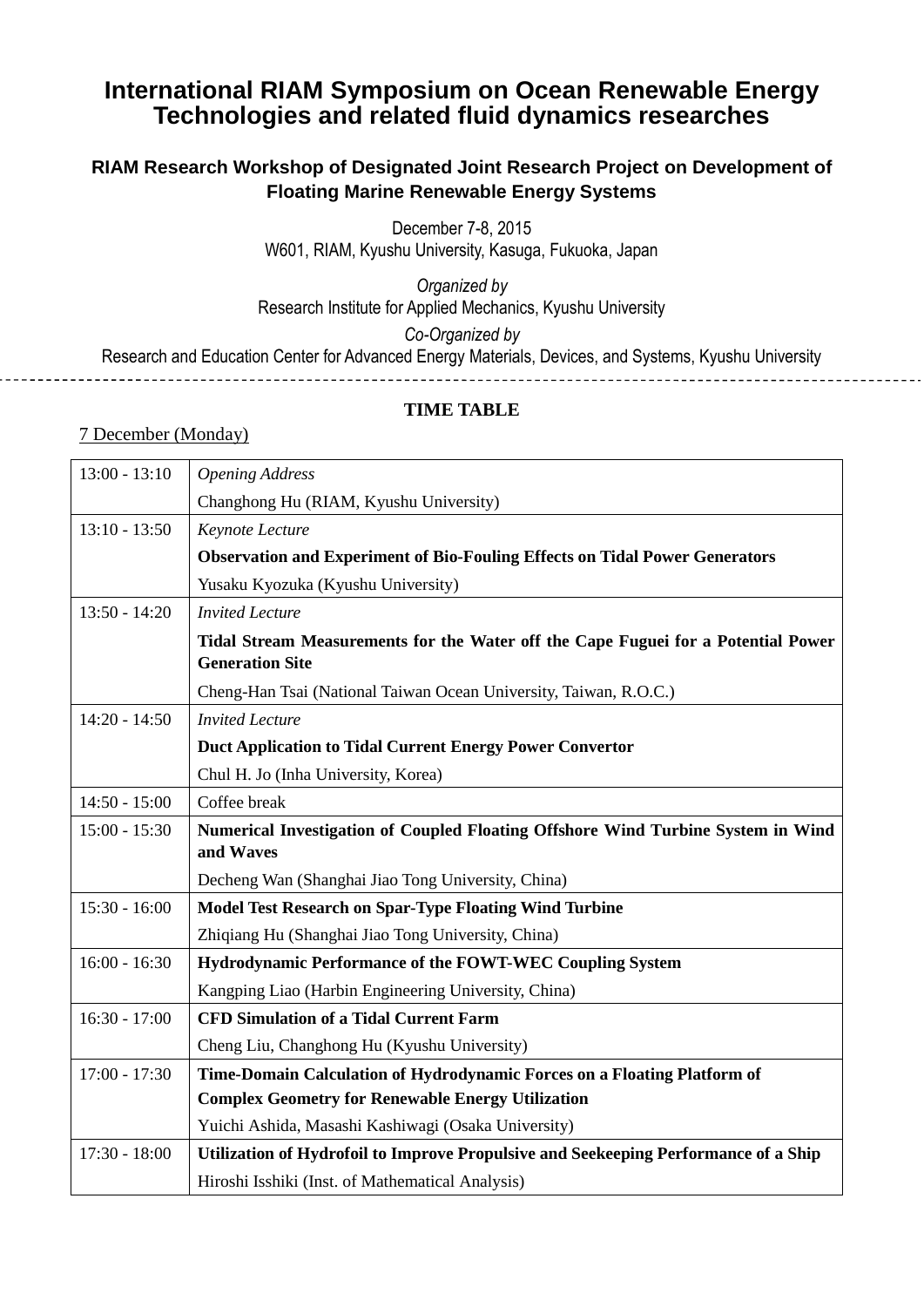# **International RIAM Symposium on Ocean Renewable Energy Technologies and related fluid dynamics researches**

## **RIAM Research Workshop of Designated Joint Research Project on Development of Floating Marine Renewable Energy Systems**

December 7-8, 2015

W601, RIAM, Kyushu University, Kasuga, Fukuoka, Japan

*Organized by* Research Institute for Applied Mechanics, Kyushu University

*Co-Organized by*

Research and Education Center for Advanced Energy Materials, Devices, and Systems, Kyushu University

#### **TIME TABLE**

### 7 December (Monday)

| $13:00 - 13:10$ | <b>Opening Address</b>                                                                                      |
|-----------------|-------------------------------------------------------------------------------------------------------------|
|                 | Changhong Hu (RIAM, Kyushu University)                                                                      |
| $13:10 - 13:50$ | Keynote Lecture                                                                                             |
|                 | <b>Observation and Experiment of Bio-Fouling Effects on Tidal Power Generators</b>                          |
|                 | Yusaku Kyozuka (Kyushu University)                                                                          |
| $13:50 - 14:20$ | <b>Invited Lecture</b>                                                                                      |
|                 | Tidal Stream Measurements for the Water off the Cape Fuguei for a Potential Power<br><b>Generation Site</b> |
|                 | Cheng-Han Tsai (National Taiwan Ocean University, Taiwan, R.O.C.)                                           |
| $14:20 - 14:50$ | <b>Invited Lecture</b>                                                                                      |
|                 | Duct Application to Tidal Current Energy Power Convertor                                                    |
|                 | Chul H. Jo (Inha University, Korea)                                                                         |
| $14:50 - 15:00$ | Coffee break                                                                                                |
| $15:00 - 15:30$ | Numerical Investigation of Coupled Floating Offshore Wind Turbine System in Wind                            |
|                 | and Waves                                                                                                   |
|                 | Decheng Wan (Shanghai Jiao Tong University, China)                                                          |
| $15:30 - 16:00$ | <b>Model Test Research on Spar-Type Floating Wind Turbine</b>                                               |
|                 | Zhiqiang Hu (Shanghai Jiao Tong University, China)                                                          |
| $16:00 - 16:30$ | Hydrodynamic Performance of the FOWT-WEC Coupling System                                                    |
|                 | Kangping Liao (Harbin Engineering University, China)                                                        |
| $16:30 - 17:00$ | <b>CFD Simulation of a Tidal Current Farm</b>                                                               |
|                 | Cheng Liu, Changhong Hu (Kyushu University)                                                                 |
| $17:00 - 17:30$ | Time-Domain Calculation of Hydrodynamic Forces on a Floating Platform of                                    |
|                 | <b>Complex Geometry for Renewable Energy Utilization</b>                                                    |
|                 | Yuichi Ashida, Masashi Kashiwagi (Osaka University)                                                         |
| $17:30 - 18:00$ | Utilization of Hydrofoil to Improve Propulsive and Seekeeping Performance of a Ship                         |
|                 | Hiroshi Isshiki (Inst. of Mathematical Analysis)                                                            |